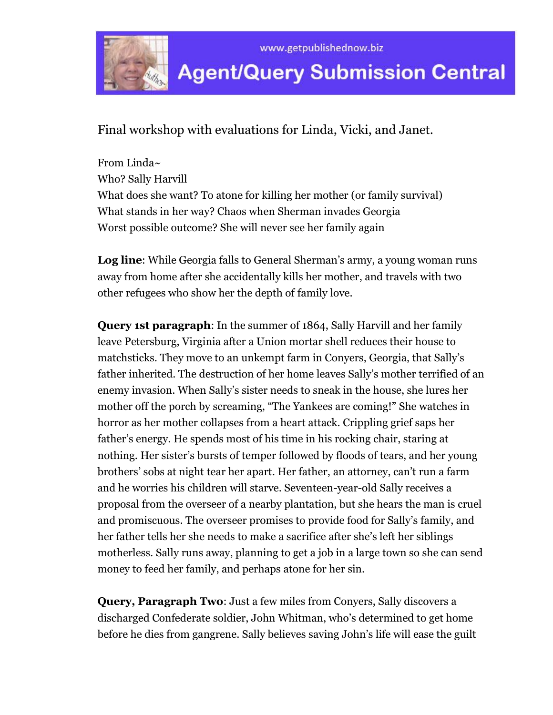

Final workshop with evaluations for Linda, Vicki, and Janet.

From Linda~ Who? Sally Harvill What does she want? To atone for killing her mother (or family survival) What stands in her way? Chaos when Sherman invades Georgia Worst possible outcome? She will never see her family again

**Log line**: While Georgia falls to General Sherman's army, a young woman runs away from home after she accidentally kills her mother, and travels with two other refugees who show her the depth of family love.

**Query 1st paragraph**: In the summer of 1864, Sally Harvill and her family leave Petersburg, Virginia after a Union mortar shell reduces their house to matchsticks. They move to an unkempt farm in Conyers, Georgia, that Sally's father inherited. The destruction of her home leaves Sally's mother terrified of an enemy invasion. When Sally's sister needs to sneak in the house, she lures her mother off the porch by screaming, "The Yankees are coming!" She watches in horror as her mother collapses from a heart attack. Crippling grief saps her father's energy. He spends most of his time in his rocking chair, staring at nothing. Her sister's bursts of temper followed by floods of tears, and her young brothers' sobs at night tear her apart. Her father, an attorney, can't run a farm and he worries his children will starve. Seventeen-year-old Sally receives a proposal from the overseer of a nearby plantation, but she hears the man is cruel and promiscuous. The overseer promises to provide food for Sally's family, and her father tells her she needs to make a sacrifice after she's left her siblings motherless. Sally runs away, planning to get a job in a large town so she can send money to feed her family, and perhaps atone for her sin.

**Query, Paragraph Two**: Just a few miles from Conyers, Sally discovers a discharged Confederate soldier, John Whitman, who's determined to get home before he dies from gangrene. Sally believes saving John's life will ease the guilt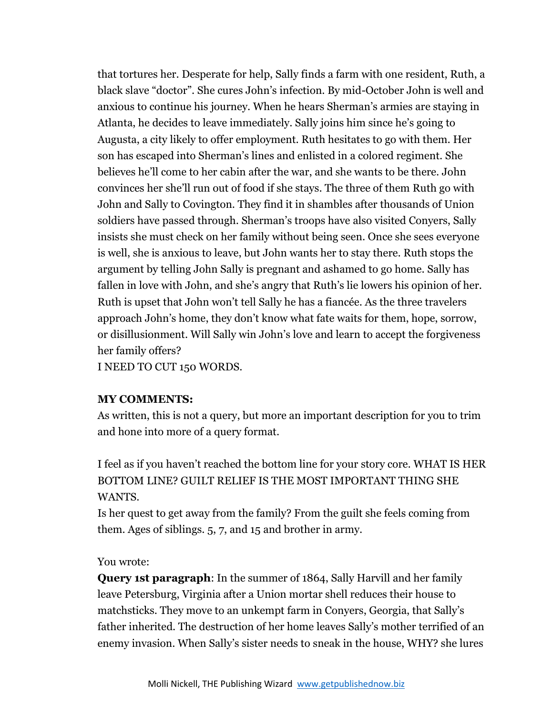that tortures her. Desperate for help, Sally finds a farm with one resident, Ruth, a black slave "doctor". She cures John's infection. By mid-October John is well and anxious to continue his journey. When he hears Sherman's armies are staying in Atlanta, he decides to leave immediately. Sally joins him since he's going to Augusta, a city likely to offer employment. Ruth hesitates to go with them. Her son has escaped into Sherman's lines and enlisted in a colored regiment. She believes he'll come to her cabin after the war, and she wants to be there. John convinces her she'll run out of food if she stays. The three of them Ruth go with John and Sally to Covington. They find it in shambles after thousands of Union soldiers have passed through. Sherman's troops have also visited Conyers, Sally insists she must check on her family without being seen. Once she sees everyone is well, she is anxious to leave, but John wants her to stay there. Ruth stops the argument by telling John Sally is pregnant and ashamed to go home. Sally has fallen in love with John, and she's angry that Ruth's lie lowers his opinion of her. Ruth is upset that John won't tell Sally he has a fiancée. As the three travelers approach John's home, they don't know what fate waits for them, hope, sorrow, or disillusionment. Will Sally win John's love and learn to accept the forgiveness her family offers?

I NEED TO CUT 150 WORDS.

# **MY COMMENTS:**

As written, this is not a query, but more an important description for you to trim and hone into more of a query format.

I feel as if you haven't reached the bottom line for your story core. WHAT IS HER BOTTOM LINE? GUILT RELIEF IS THE MOST IMPORTANT THING SHE WANTS.

Is her quest to get away from the family? From the guilt she feels coming from them. Ages of siblings. 5, 7, and 15 and brother in army.

### You wrote:

**Query 1st paragraph**: In the summer of 1864, Sally Harvill and her family leave Petersburg, Virginia after a Union mortar shell reduces their house to matchsticks. They move to an unkempt farm in Conyers, Georgia, that Sally's father inherited. The destruction of her home leaves Sally's mother terrified of an enemy invasion. When Sally's sister needs to sneak in the house, WHY? she lures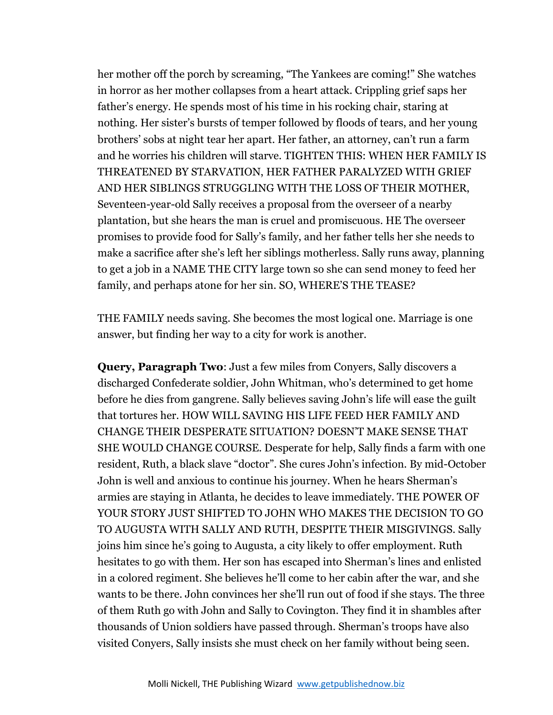her mother off the porch by screaming, "The Yankees are coming!" She watches in horror as her mother collapses from a heart attack. Crippling grief saps her father's energy. He spends most of his time in his rocking chair, staring at nothing. Her sister's bursts of temper followed by floods of tears, and her young brothers' sobs at night tear her apart. Her father, an attorney, can't run a farm and he worries his children will starve. TIGHTEN THIS: WHEN HER FAMILY IS THREATENED BY STARVATION, HER FATHER PARALYZED WITH GRIEF AND HER SIBLINGS STRUGGLING WITH THE LOSS OF THEIR MOTHER, Seventeen-year-old Sally receives a proposal from the overseer of a nearby plantation, but she hears the man is cruel and promiscuous. HE The overseer promises to provide food for Sally's family, and her father tells her she needs to make a sacrifice after she's left her siblings motherless. Sally runs away, planning to get a job in a NAME THE CITY large town so she can send money to feed her family, and perhaps atone for her sin. SO, WHERE'S THE TEASE?

THE FAMILY needs saving. She becomes the most logical one. Marriage is one answer, but finding her way to a city for work is another.

**Query, Paragraph Two**: Just a few miles from Conyers, Sally discovers a discharged Confederate soldier, John Whitman, who's determined to get home before he dies from gangrene. Sally believes saving John's life will ease the guilt that tortures her. HOW WILL SAVING HIS LIFE FEED HER FAMILY AND CHANGE THEIR DESPERATE SITUATION? DOESN'T MAKE SENSE THAT SHE WOULD CHANGE COURSE. Desperate for help, Sally finds a farm with one resident, Ruth, a black slave "doctor". She cures John's infection. By mid-October John is well and anxious to continue his journey. When he hears Sherman's armies are staying in Atlanta, he decides to leave immediately. THE POWER OF YOUR STORY JUST SHIFTED TO JOHN WHO MAKES THE DECISION TO GO TO AUGUSTA WITH SALLY AND RUTH, DESPITE THEIR MISGIVINGS. Sally joins him since he's going to Augusta, a city likely to offer employment. Ruth hesitates to go with them. Her son has escaped into Sherman's lines and enlisted in a colored regiment. She believes he'll come to her cabin after the war, and she wants to be there. John convinces her she'll run out of food if she stays. The three of them Ruth go with John and Sally to Covington. They find it in shambles after thousands of Union soldiers have passed through. Sherman's troops have also visited Conyers, Sally insists she must check on her family without being seen.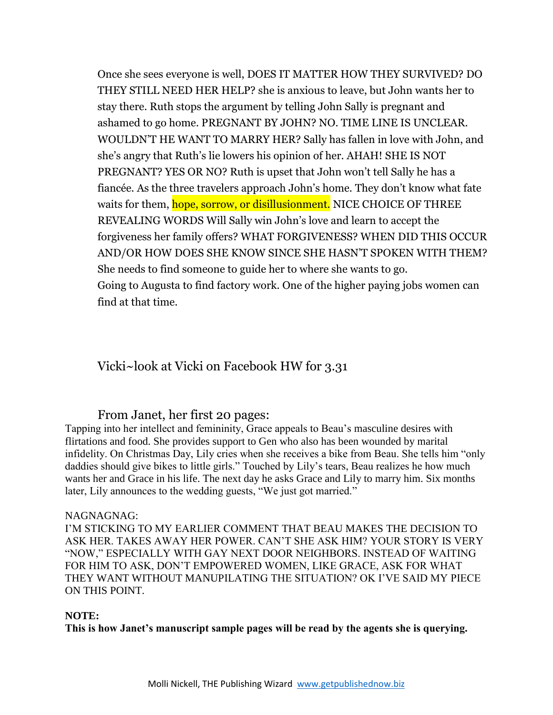Once she sees everyone is well, DOES IT MATTER HOW THEY SURVIVED? DO THEY STILL NEED HER HELP? she is anxious to leave, but John wants her to stay there. Ruth stops the argument by telling John Sally is pregnant and ashamed to go home. PREGNANT BY JOHN? NO. TIME LINE IS UNCLEAR. WOULDN'T HE WANT TO MARRY HER? Sally has fallen in love with John, and she's angry that Ruth's lie lowers his opinion of her. AHAH! SHE IS NOT PREGNANT? YES OR NO? Ruth is upset that John won't tell Sally he has a fiancée. As the three travelers approach John's home. They don't know what fate waits for them, hope, sorrow, or disillusionment. NICE CHOICE OF THREE REVEALING WORDS Will Sally win John's love and learn to accept the forgiveness her family offers? WHAT FORGIVENESS? WHEN DID THIS OCCUR AND/OR HOW DOES SHE KNOW SINCE SHE HASN'T SPOKEN WITH THEM? She needs to find someone to guide her to where she wants to go. Going to Augusta to find factory work. One of the higher paying jobs women can find at that time.

# Vicki~look at Vicki on Facebook HW for 3.31

### From Janet, her first 20 pages:

Tapping into her intellect and femininity, Grace appeals to Beau's masculine desires with flirtations and food. She provides support to Gen who also has been wounded by marital infidelity. On Christmas Day, Lily cries when she receives a bike from Beau. She tells him "only daddies should give bikes to little girls." Touched by Lily's tears, Beau realizes he how much wants her and Grace in his life. The next day he asks Grace and Lily to marry him. Six months later, Lily announces to the wedding guests, "We just got married."

#### NAGNAGNAG:

I'M STICKING TO MY EARLIER COMMENT THAT BEAU MAKES THE DECISION TO ASK HER. TAKES AWAY HER POWER. CAN'T SHE ASK HIM? YOUR STORY IS VERY "NOW," ESPECIALLY WITH GAY NEXT DOOR NEIGHBORS. INSTEAD OF WAITING FOR HIM TO ASK, DON'T EMPOWERED WOMEN, LIKE GRACE, ASK FOR WHAT THEY WANT WITHOUT MANUPILATING THE SITUATION? OK I'VE SAID MY PIECE ON THIS POINT.

#### **NOTE:**

**This is how Janet's manuscript sample pages will be read by the agents she is querying.**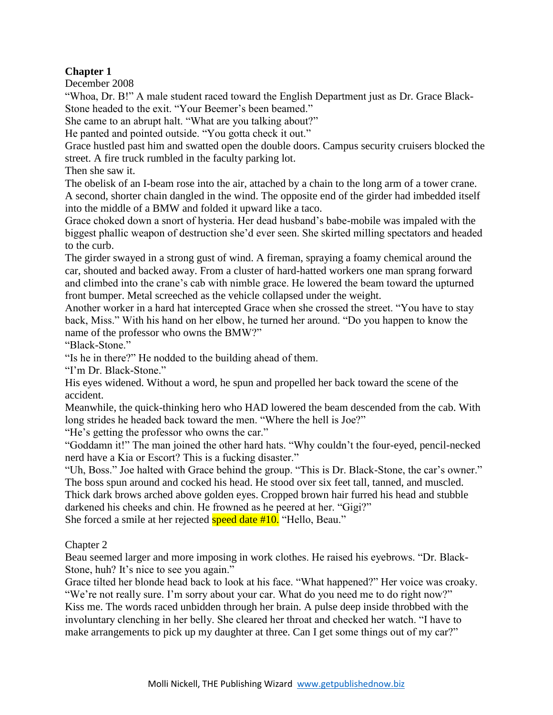## **Chapter 1**

December 2008

"Whoa, Dr. B!" A male student raced toward the English Department just as Dr. Grace Black-Stone headed to the exit. "Your Beemer's been beamed."

She came to an abrupt halt. "What are you talking about?"

He panted and pointed outside. "You gotta check it out."

Grace hustled past him and swatted open the double doors. Campus security cruisers blocked the street. A fire truck rumbled in the faculty parking lot.

Then she saw it.

The obelisk of an I-beam rose into the air, attached by a chain to the long arm of a tower crane. A second, shorter chain dangled in the wind. The opposite end of the girder had imbedded itself into the middle of a BMW and folded it upward like a taco.

Grace choked down a snort of hysteria. Her dead husband's babe-mobile was impaled with the biggest phallic weapon of destruction she'd ever seen. She skirted milling spectators and headed to the curb.

The girder swayed in a strong gust of wind. A fireman, spraying a foamy chemical around the car, shouted and backed away. From a cluster of hard-hatted workers one man sprang forward and climbed into the crane's cab with nimble grace. He lowered the beam toward the upturned front bumper. Metal screeched as the vehicle collapsed under the weight.

Another worker in a hard hat intercepted Grace when she crossed the street. "You have to stay back, Miss." With his hand on her elbow, he turned her around. "Do you happen to know the name of the professor who owns the BMW?"

"Black-Stone"

"Is he in there?" He nodded to the building ahead of them.

"I'm Dr. Black-Stone."

His eyes widened. Without a word, he spun and propelled her back toward the scene of the accident.

Meanwhile, the quick-thinking hero who HAD lowered the beam descended from the cab. With long strides he headed back toward the men. "Where the hell is Joe?"

"He's getting the professor who owns the car."

"Goddamn it!" The man joined the other hard hats. "Why couldn't the four-eyed, pencil-necked nerd have a Kia or Escort? This is a fucking disaster."

"Uh, Boss." Joe halted with Grace behind the group. "This is Dr. Black-Stone, the car's owner." The boss spun around and cocked his head. He stood over six feet tall, tanned, and muscled. Thick dark brows arched above golden eyes. Cropped brown hair furred his head and stubble

darkened his cheeks and chin. He frowned as he peered at her. "Gigi?"

She forced a smile at her rejected **speed date #10.** "Hello, Beau."

Chapter 2

Beau seemed larger and more imposing in work clothes. He raised his eyebrows. "Dr. Black-Stone, huh? It's nice to see you again."

Grace tilted her blonde head back to look at his face. "What happened?" Her voice was croaky. "We're not really sure. I'm sorry about your car. What do you need me to do right now?" Kiss me. The words raced unbidden through her brain. A pulse deep inside throbbed with the

involuntary clenching in her belly. She cleared her throat and checked her watch. "I have to make arrangements to pick up my daughter at three. Can I get some things out of my car?"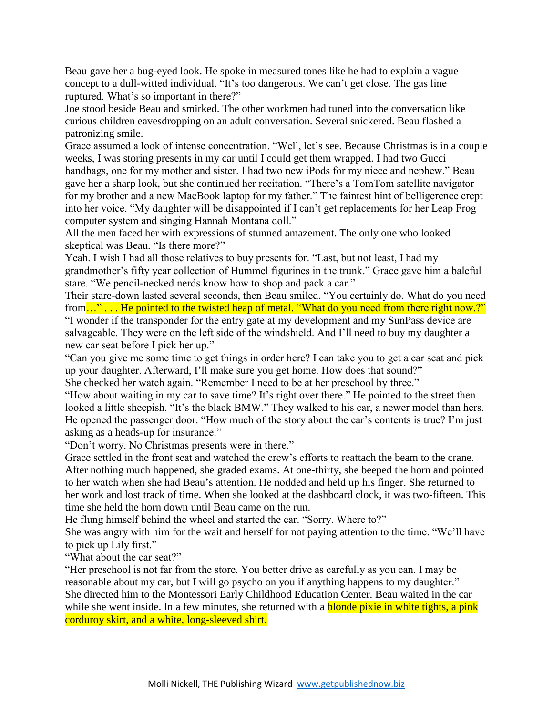Beau gave her a bug-eyed look. He spoke in measured tones like he had to explain a vague concept to a dull-witted individual. "It's too dangerous. We can't get close. The gas line ruptured. What's so important in there?"

Joe stood beside Beau and smirked. The other workmen had tuned into the conversation like curious children eavesdropping on an adult conversation. Several snickered. Beau flashed a patronizing smile.

Grace assumed a look of intense concentration. "Well, let's see. Because Christmas is in a couple weeks, I was storing presents in my car until I could get them wrapped. I had two Gucci handbags, one for my mother and sister. I had two new iPods for my niece and nephew." Beau gave her a sharp look, but she continued her recitation. "There's a TomTom satellite navigator for my brother and a new MacBook laptop for my father." The faintest hint of belligerence crept into her voice. "My daughter will be disappointed if I can't get replacements for her Leap Frog computer system and singing Hannah Montana doll."

All the men faced her with expressions of stunned amazement. The only one who looked skeptical was Beau. "Is there more?"

Yeah. I wish I had all those relatives to buy presents for. "Last, but not least, I had my grandmother's fifty year collection of Hummel figurines in the trunk." Grace gave him a baleful stare. "We pencil-necked nerds know how to shop and pack a car."

Their stare-down lasted several seconds, then Beau smiled. "You certainly do. What do you need from..."... He pointed to the twisted heap of metal. "What do you need from there right now.?" "I wonder if the transponder for the entry gate at my development and my SunPass device are salvageable. They were on the left side of the windshield. And I'll need to buy my daughter a new car seat before I pick her up."

"Can you give me some time to get things in order here? I can take you to get a car seat and pick up your daughter. Afterward, I'll make sure you get home. How does that sound?"

She checked her watch again. "Remember I need to be at her preschool by three."

"How about waiting in my car to save time? It's right over there." He pointed to the street then looked a little sheepish. "It's the black BMW." They walked to his car, a newer model than hers. He opened the passenger door. "How much of the story about the car's contents is true? I'm just asking as a heads-up for insurance."

"Don't worry. No Christmas presents were in there."

Grace settled in the front seat and watched the crew's efforts to reattach the beam to the crane. After nothing much happened, she graded exams. At one-thirty, she beeped the horn and pointed to her watch when she had Beau's attention. He nodded and held up his finger. She returned to her work and lost track of time. When she looked at the dashboard clock, it was two-fifteen. This time she held the horn down until Beau came on the run.

He flung himself behind the wheel and started the car. "Sorry. Where to?"

She was angry with him for the wait and herself for not paying attention to the time. "We'll have to pick up Lily first."

"What about the car seat?"

"Her preschool is not far from the store. You better drive as carefully as you can. I may be reasonable about my car, but I will go psycho on you if anything happens to my daughter." She directed him to the Montessori Early Childhood Education Center. Beau waited in the car while she went inside. In a few minutes, she returned with a **blonde pixie in white tights, a pink** corduroy skirt, and a white, long-sleeved shirt.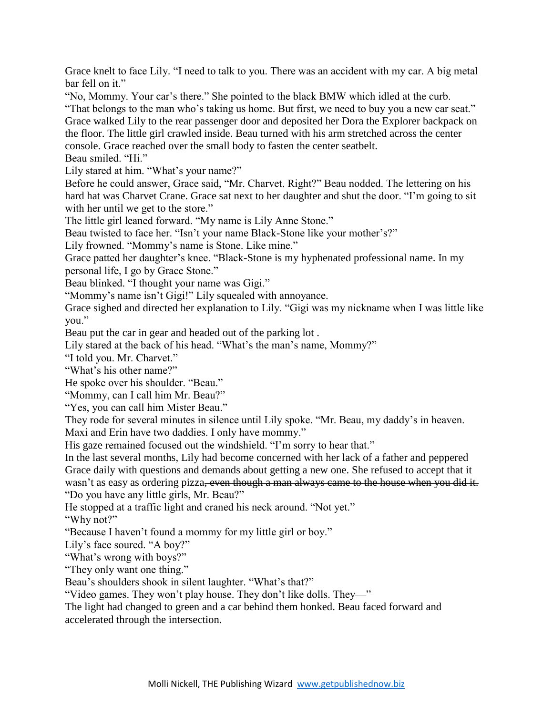Grace knelt to face Lily. "I need to talk to you. There was an accident with my car. A big metal bar fell on it."

"No, Mommy. Your car's there." She pointed to the black BMW which idled at the curb.

"That belongs to the man who's taking us home. But first, we need to buy you a new car seat." Grace walked Lily to the rear passenger door and deposited her Dora the Explorer backpack on the floor. The little girl crawled inside. Beau turned with his arm stretched across the center console. Grace reached over the small body to fasten the center seatbelt.

Beau smiled. "Hi."

Lily stared at him. "What's your name?"

Before he could answer, Grace said, "Mr. Charvet. Right?" Beau nodded. The lettering on his hard hat was Charvet Crane. Grace sat next to her daughter and shut the door. "I'm going to sit with her until we get to the store."

The little girl leaned forward. "My name is Lily Anne Stone."

Beau twisted to face her. "Isn't your name Black-Stone like your mother's?"

Lily frowned. "Mommy's name is Stone. Like mine."

Grace patted her daughter's knee. "Black-Stone is my hyphenated professional name. In my personal life, I go by Grace Stone."

Beau blinked. "I thought your name was Gigi."

"Mommy's name isn't Gigi!" Lily squealed with annoyance.

Grace sighed and directed her explanation to Lily. "Gigi was my nickname when I was little like you."

Beau put the car in gear and headed out of the parking lot .

Lily stared at the back of his head. "What's the man's name, Mommy?"

"I told you. Mr. Charvet."

"What's his other name?"

He spoke over his shoulder. "Beau."

"Mommy, can I call him Mr. Beau?"

"Yes, you can call him Mister Beau."

They rode for several minutes in silence until Lily spoke. "Mr. Beau, my daddy's in heaven. Maxi and Erin have two daddies. I only have mommy."

His gaze remained focused out the windshield. "I'm sorry to hear that."

In the last several months, Lily had become concerned with her lack of a father and peppered Grace daily with questions and demands about getting a new one. She refused to accept that it wasn't as easy as ordering pizza<del>, even though a man always came to the house when you did it.</del> "Do you have any little girls, Mr. Beau?"

He stopped at a traffic light and craned his neck around. "Not yet."

"Why not?"

"Because I haven't found a mommy for my little girl or boy."

Lily's face soured. "A boy?"

"What's wrong with boys?"

"They only want one thing."

Beau's shoulders shook in silent laughter. "What's that?"

"Video games. They won't play house. They don't like dolls. They—"

The light had changed to green and a car behind them honked. Beau faced forward and accelerated through the intersection.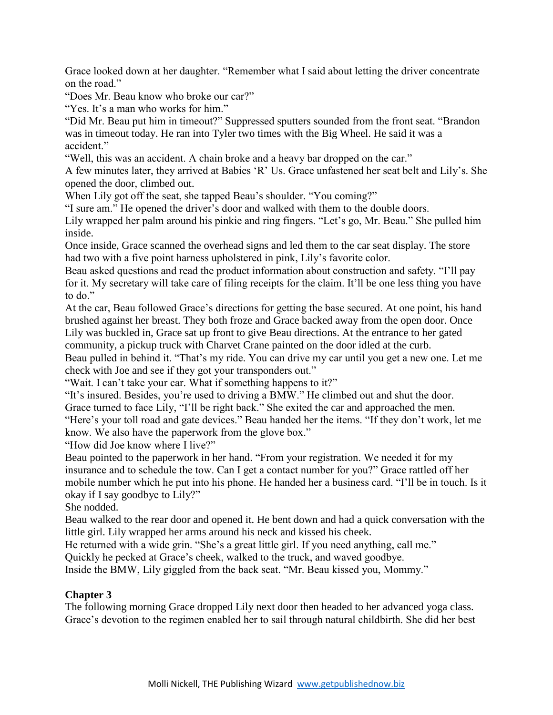Grace looked down at her daughter. "Remember what I said about letting the driver concentrate on the road."

"Does Mr. Beau know who broke our car?"

"Yes. It's a man who works for him."

"Did Mr. Beau put him in timeout?" Suppressed sputters sounded from the front seat. "Brandon was in timeout today. He ran into Tyler two times with the Big Wheel. He said it was a accident."

"Well, this was an accident. A chain broke and a heavy bar dropped on the car."

A few minutes later, they arrived at Babies 'R' Us. Grace unfastened her seat belt and Lily's. She opened the door, climbed out.

When Lily got off the seat, she tapped Beau's shoulder. "You coming?"

"I sure am." He opened the driver's door and walked with them to the double doors.

Lily wrapped her palm around his pinkie and ring fingers. "Let's go, Mr. Beau." She pulled him inside.

Once inside, Grace scanned the overhead signs and led them to the car seat display. The store had two with a five point harness upholstered in pink, Lily's favorite color.

Beau asked questions and read the product information about construction and safety. "I'll pay for it. My secretary will take care of filing receipts for the claim. It'll be one less thing you have to do."

At the car, Beau followed Grace's directions for getting the base secured. At one point, his hand brushed against her breast. They both froze and Grace backed away from the open door. Once Lily was buckled in, Grace sat up front to give Beau directions. At the entrance to her gated community, a pickup truck with Charvet Crane painted on the door idled at the curb.

Beau pulled in behind it. "That's my ride. You can drive my car until you get a new one. Let me check with Joe and see if they got your transponders out."

"Wait. I can't take your car. What if something happens to it?"

"It's insured. Besides, you're used to driving a BMW." He climbed out and shut the door.

Grace turned to face Lily, "I'll be right back." She exited the car and approached the men.

"Here's your toll road and gate devices." Beau handed her the items. "If they don't work, let me know. We also have the paperwork from the glove box."

"How did Joe know where I live?"

Beau pointed to the paperwork in her hand. "From your registration. We needed it for my insurance and to schedule the tow. Can I get a contact number for you?" Grace rattled off her mobile number which he put into his phone. He handed her a business card. "I'll be in touch. Is it okay if I say goodbye to Lily?"

She nodded.

Beau walked to the rear door and opened it. He bent down and had a quick conversation with the little girl. Lily wrapped her arms around his neck and kissed his cheek.

He returned with a wide grin. "She's a great little girl. If you need anything, call me."

Quickly he pecked at Grace's cheek, walked to the truck, and waved goodbye.

Inside the BMW, Lily giggled from the back seat. "Mr. Beau kissed you, Mommy."

### **Chapter 3**

The following morning Grace dropped Lily next door then headed to her advanced yoga class. Grace's devotion to the regimen enabled her to sail through natural childbirth. She did her best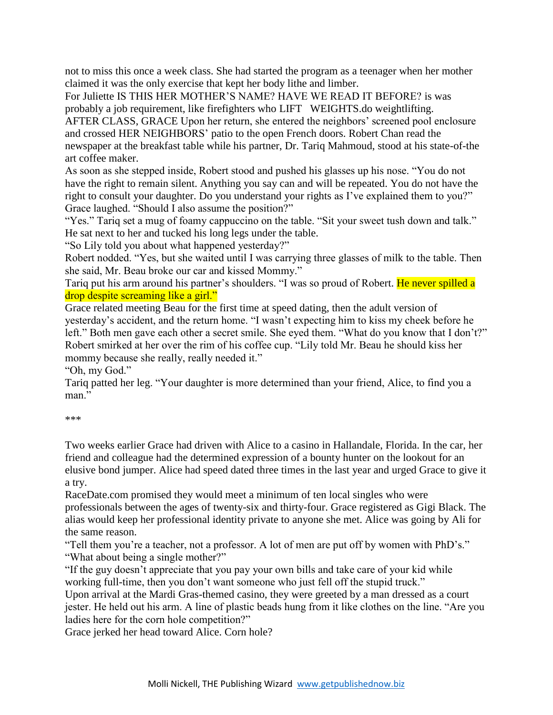not to miss this once a week class. She had started the program as a teenager when her mother claimed it was the only exercise that kept her body lithe and limber.

For Juliette IS THIS HER MOTHER'S NAME? HAVE WE READ IT BEFORE? is was probably a job requirement, like firefighters who LIFT WEIGHTS.do weightlifting.

AFTER CLASS, GRACE Upon her return, she entered the neighbors' screened pool enclosure and crossed HER NEIGHBORS' patio to the open French doors. Robert Chan read the newspaper at the breakfast table while his partner, Dr. Tariq Mahmoud, stood at his state-of-the art coffee maker.

As soon as she stepped inside, Robert stood and pushed his glasses up his nose. "You do not have the right to remain silent. Anything you say can and will be repeated. You do not have the right to consult your daughter. Do you understand your rights as I've explained them to you?" Grace laughed. "Should I also assume the position?"

"Yes." Tariq set a mug of foamy cappuccino on the table. "Sit your sweet tush down and talk." He sat next to her and tucked his long legs under the table.

"So Lily told you about what happened yesterday?"

Robert nodded. "Yes, but she waited until I was carrying three glasses of milk to the table. Then she said, Mr. Beau broke our car and kissed Mommy."

Tariq put his arm around his partner's shoulders. "I was so proud of Robert. He never spilled a drop despite screaming like a girl."

Grace related meeting Beau for the first time at speed dating, then the adult version of yesterday's accident, and the return home. "I wasn't expecting him to kiss my cheek before he left." Both men gave each other a secret smile. She eyed them. "What do you know that I don't?" Robert smirked at her over the rim of his coffee cup. "Lily told Mr. Beau he should kiss her mommy because she really, really needed it."

"Oh, my God."

Tariq patted her leg. "Your daughter is more determined than your friend, Alice, to find you a man"

\*\*\*

Two weeks earlier Grace had driven with Alice to a casino in Hallandale, Florida. In the car, her friend and colleague had the determined expression of a bounty hunter on the lookout for an elusive bond jumper. Alice had speed dated three times in the last year and urged Grace to give it a try.

RaceDate.com promised they would meet a minimum of ten local singles who were professionals between the ages of twenty-six and thirty-four. Grace registered as Gigi Black. The alias would keep her professional identity private to anyone she met. Alice was going by Ali for the same reason.

"Tell them you're a teacher, not a professor. A lot of men are put off by women with PhD's." "What about being a single mother?"

"If the guy doesn't appreciate that you pay your own bills and take care of your kid while working full-time, then you don't want someone who just fell off the stupid truck."

Upon arrival at the Mardi Gras-themed casino, they were greeted by a man dressed as a court jester. He held out his arm. A line of plastic beads hung from it like clothes on the line. "Are you ladies here for the corn hole competition?"

Grace jerked her head toward Alice. Corn hole?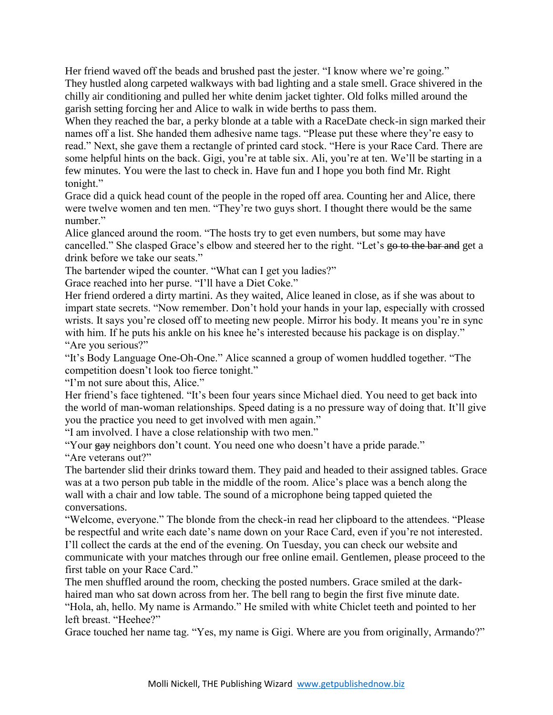Her friend waved off the beads and brushed past the jester. "I know where we're going." They hustled along carpeted walkways with bad lighting and a stale smell. Grace shivered in the chilly air conditioning and pulled her white denim jacket tighter. Old folks milled around the garish setting forcing her and Alice to walk in wide berths to pass them.

When they reached the bar, a perky blonde at a table with a RaceDate check-in sign marked their names off a list. She handed them adhesive name tags. "Please put these where they're easy to read." Next, she gave them a rectangle of printed card stock. "Here is your Race Card. There are some helpful hints on the back. Gigi, you're at table six. Ali, you're at ten. We'll be starting in a few minutes. You were the last to check in. Have fun and I hope you both find Mr. Right tonight."

Grace did a quick head count of the people in the roped off area. Counting her and Alice, there were twelve women and ten men. "They're two guys short. I thought there would be the same number."

Alice glanced around the room. "The hosts try to get even numbers, but some may have cancelled." She clasped Grace's elbow and steered her to the right. "Let's go to the bar and get a drink before we take our seats."

The bartender wiped the counter. "What can I get you ladies?"

Grace reached into her purse. "I'll have a Diet Coke."

Her friend ordered a dirty martini. As they waited, Alice leaned in close, as if she was about to impart state secrets. "Now remember. Don't hold your hands in your lap, especially with crossed wrists. It says you're closed off to meeting new people. Mirror his body. It means you're in sync with him. If he puts his ankle on his knee he's interested because his package is on display." "Are you serious?"

"It's Body Language One-Oh-One." Alice scanned a group of women huddled together. "The competition doesn't look too fierce tonight."

"I'm not sure about this, Alice."

Her friend's face tightened. "It's been four years since Michael died. You need to get back into the world of man-woman relationships. Speed dating is a no pressure way of doing that. It'll give you the practice you need to get involved with men again."

"I am involved. I have a close relationship with two men."

"Your  $\frac{1}{2}$  reighbors don't count. You need one who doesn't have a pride parade." "Are veterans out?"

The bartender slid their drinks toward them. They paid and headed to their assigned tables. Grace was at a two person pub table in the middle of the room. Alice's place was a bench along the wall with a chair and low table. The sound of a microphone being tapped quieted the conversations.

"Welcome, everyone." The blonde from the check-in read her clipboard to the attendees. "Please be respectful and write each date's name down on your Race Card, even if you're not interested. I'll collect the cards at the end of the evening. On Tuesday, you can check our website and communicate with your matches through our free online email. Gentlemen, please proceed to the first table on your Race Card."

The men shuffled around the room, checking the posted numbers. Grace smiled at the darkhaired man who sat down across from her. The bell rang to begin the first five minute date. "Hola, ah, hello. My name is Armando." He smiled with white Chiclet teeth and pointed to her left breast. "Heehee?"

Grace touched her name tag. "Yes, my name is Gigi. Where are you from originally, Armando?"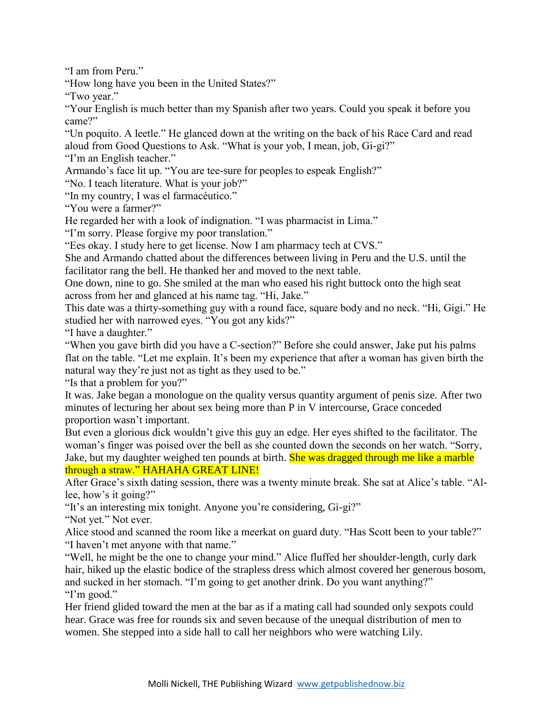"I am from Peru."

"How long have you been in the United States?"

"Two year."

"Your English is much better than my Spanish after two years. Could you speak it before you came?"

"Un poquito. A leetle." He glanced down at the writing on the back of his Race Card and read aloud from Good Questions to Ask. "What is your yob, I mean, job, Gi-gi?"

"I'm an English teacher."

Armando's face lit up. "You are tee-sure for peoples to espeak English?"

"No. I teach literature. What is your job?"

"In my country, I was el farmacéutico."

"You were a farmer?"

He regarded her with a look of indignation. "I was pharmacist in Lima."

"I'm sorry. Please forgive my poor translation."

"Ees okay. I study here to get license. Now I am pharmacy tech at CVS."

She and Armando chatted about the differences between living in Peru and the U.S. until the facilitator rang the bell. He thanked her and moved to the next table.

One down, nine to go. She smiled at the man who eased his right buttock onto the high seat across from her and glanced at his name tag. "Hi, Jake."

This date was a thirty-something guy with a round face, square body and no neck. "Hi, Gigi." He studied her with narrowed eyes. "You got any kids?"

"I have a daughter."

"When you gave birth did you have a C-section?" Before she could answer, Jake put his palms flat on the table. "Let me explain. It's been my experience that after a woman has given birth the natural way they're just not as tight as they used to be."

"Is that a problem for you?"

It was. Jake began a monologue on the quality versus quantity argument of penis size. After two minutes of lecturing her about sex being more than P in V intercourse, Grace conceded proportion wasn't important.

But even a glorious dick wouldn't give this guy an edge. Her eyes shifted to the facilitator. The woman's finger was poised over the bell as she counted down the seconds on her watch. "Sorry, Jake, but my daughter weighed ten pounds at birth. She was dragged through me like a marble through a straw." HAHAHA GREAT LINE!

After Grace's sixth dating session, there was a twenty minute break. She sat at Alice's table. "Allee, how's it going?"

"It's an interesting mix tonight. Anyone you're considering, Gi-gi?"

"Not yet." Not ever.

Alice stood and scanned the room like a meerkat on guard duty. "Has Scott been to your table?" "I haven't met anyone with that name."

"Well, he might be the one to change your mind." Alice fluffed her shoulder-length, curly dark hair, hiked up the elastic bodice of the strapless dress which almost covered her generous bosom, and sucked in her stomach. "I'm going to get another drink. Do you want anything?" "I'm good."

Her friend glided toward the men at the bar as if a mating call had sounded only sexpots could hear. Grace was free for rounds six and seven because of the unequal distribution of men to women. She stepped into a side hall to call her neighbors who were watching Lily.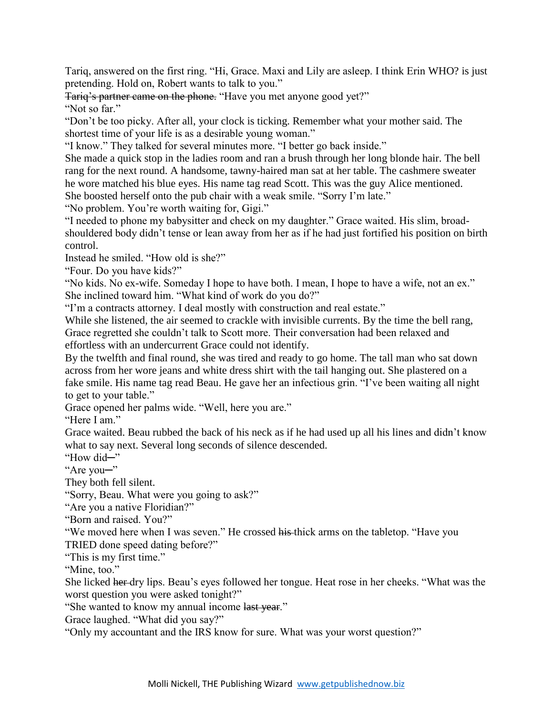Tariq, answered on the first ring. "Hi, Grace. Maxi and Lily are asleep. I think Erin WHO? is just pretending. Hold on, Robert wants to talk to you."

Tariq's partner came on the phone. "Have you met anyone good yet?"

"Not so far."

"Don't be too picky. After all, your clock is ticking. Remember what your mother said. The shortest time of your life is as a desirable young woman."

"I know." They talked for several minutes more. "I better go back inside."

She made a quick stop in the ladies room and ran a brush through her long blonde hair. The bell rang for the next round. A handsome, tawny-haired man sat at her table. The cashmere sweater he wore matched his blue eyes. His name tag read Scott. This was the guy Alice mentioned. She boosted herself onto the pub chair with a weak smile. "Sorry I'm late."

"No problem. You're worth waiting for, Gigi."

"I needed to phone my babysitter and check on my daughter." Grace waited. His slim, broadshouldered body didn't tense or lean away from her as if he had just fortified his position on birth control.

Instead he smiled. "How old is she?"

"Four. Do you have kids?"

"No kids. No ex-wife. Someday I hope to have both. I mean, I hope to have a wife, not an ex." She inclined toward him. "What kind of work do you do?"

"I'm a contracts attorney. I deal mostly with construction and real estate."

While she listened, the air seemed to crackle with invisible currents. By the time the bell rang, Grace regretted she couldn't talk to Scott more. Their conversation had been relaxed and effortless with an undercurrent Grace could not identify.

By the twelfth and final round, she was tired and ready to go home. The tall man who sat down across from her wore jeans and white dress shirt with the tail hanging out. She plastered on a fake smile. His name tag read Beau. He gave her an infectious grin. "I've been waiting all night to get to your table."

Grace opened her palms wide. "Well, here you are."

"Here I am."

Grace waited. Beau rubbed the back of his neck as if he had used up all his lines and didn't know what to say next. Several long seconds of silence descended.

"How did─"

"Are you─"

They both fell silent.

"Sorry, Beau. What were you going to ask?"

"Are you a native Floridian?"

"Born and raised. You?"

"We moved here when I was seven." He crossed his thick arms on the tabletop. "Have you TRIED done speed dating before?"

"This is my first time."

"Mine, too."

She licked her dry lips. Beau's eyes followed her tongue. Heat rose in her cheeks. "What was the worst question you were asked tonight?"

"She wanted to know my annual income last year."

Grace laughed. "What did you say?"

"Only my accountant and the IRS know for sure. What was your worst question?"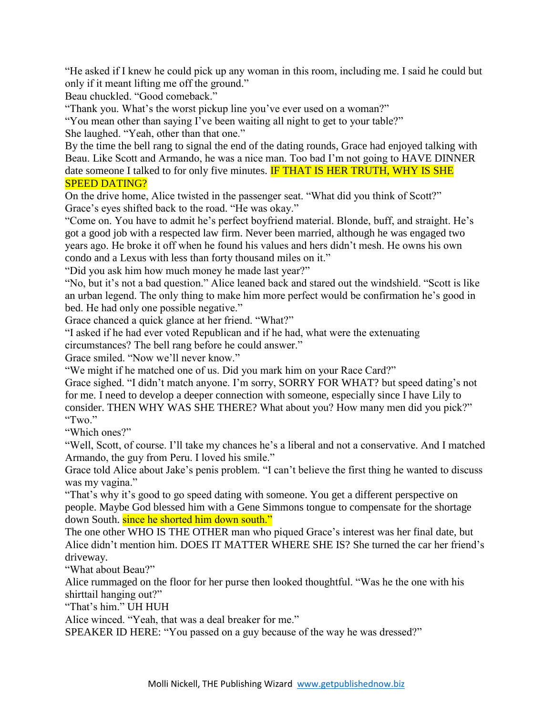"He asked if I knew he could pick up any woman in this room, including me. I said he could but only if it meant lifting me off the ground."

Beau chuckled. "Good comeback."

"Thank you. What's the worst pickup line you've ever used on a woman?"

"You mean other than saying I've been waiting all night to get to your table?"

She laughed. "Yeah, other than that one."

By the time the bell rang to signal the end of the dating rounds, Grace had enjoyed talking with Beau. Like Scott and Armando, he was a nice man. Too bad I'm not going to HAVE DINNER date someone I talked to for only five minutes. **IF THAT IS HER TRUTH, WHY IS SHE** SPEED DATING?

On the drive home, Alice twisted in the passenger seat. "What did you think of Scott?" Grace's eyes shifted back to the road. "He was okay."

"Come on. You have to admit he's perfect boyfriend material. Blonde, buff, and straight. He's got a good job with a respected law firm. Never been married, although he was engaged two years ago. He broke it off when he found his values and hers didn't mesh. He owns his own condo and a Lexus with less than forty thousand miles on it."

"Did you ask him how much money he made last year?"

"No, but it's not a bad question." Alice leaned back and stared out the windshield. "Scott is like an urban legend. The only thing to make him more perfect would be confirmation he's good in bed. He had only one possible negative."

Grace chanced a quick glance at her friend. "What?"

"I asked if he had ever voted Republican and if he had, what were the extenuating circumstances? The bell rang before he could answer."

Grace smiled. "Now we'll never know."

"We might if he matched one of us. Did you mark him on your Race Card?"

Grace sighed. "I didn't match anyone. I'm sorry, SORRY FOR WHAT? but speed dating's not for me. I need to develop a deeper connection with someone, especially since I have Lily to consider. THEN WHY WAS SHE THERE? What about you? How many men did you pick?" "Two."

"Which ones?"

"Well, Scott, of course. I'll take my chances he's a liberal and not a conservative. And I matched Armando, the guy from Peru. I loved his smile."

Grace told Alice about Jake's penis problem. "I can't believe the first thing he wanted to discuss was my vagina."

"That's why it's good to go speed dating with someone. You get a different perspective on people. Maybe God blessed him with a Gene Simmons tongue to compensate for the shortage down South. since he shorted him down south."

The one other WHO IS THE OTHER man who piqued Grace's interest was her final date, but Alice didn't mention him. DOES IT MATTER WHERE SHE IS? She turned the car her friend's driveway.

"What about Beau?"

Alice rummaged on the floor for her purse then looked thoughtful. "Was he the one with his shirttail hanging out?"

"That's him." UH HUH

Alice winced. "Yeah, that was a deal breaker for me."

SPEAKER ID HERE: "You passed on a guy because of the way he was dressed?"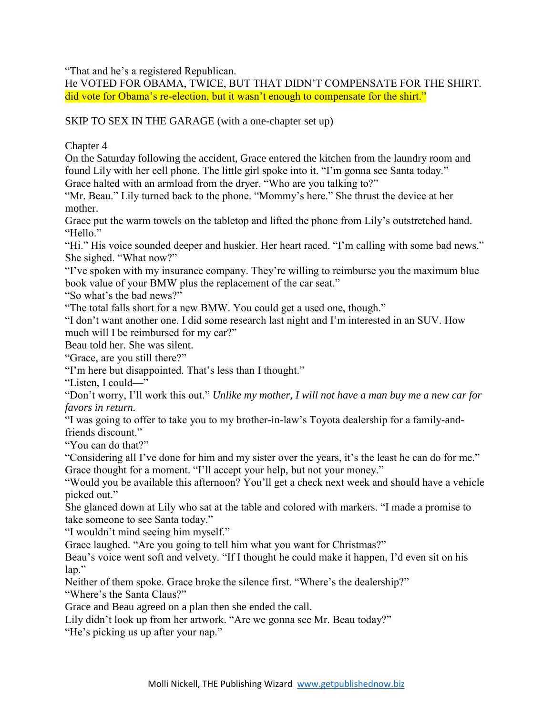"That and he's a registered Republican.

He VOTED FOR OBAMA, TWICE, BUT THAT DIDN'T COMPENSATE FOR THE SHIRT. did vote for Obama's re-election, but it wasn't enough to compensate for the shirt."

SKIP TO SEX IN THE GARAGE (with a one-chapter set up)

Chapter 4

On the Saturday following the accident, Grace entered the kitchen from the laundry room and found Lily with her cell phone. The little girl spoke into it. "I'm gonna see Santa today." Grace halted with an armload from the dryer. "Who are you talking to?"

"Mr. Beau." Lily turned back to the phone. "Mommy's here." She thrust the device at her mother.

Grace put the warm towels on the tabletop and lifted the phone from Lily's outstretched hand. "Hello."

"Hi." His voice sounded deeper and huskier. Her heart raced. "I'm calling with some bad news." She sighed. "What now?"

"I've spoken with my insurance company. They're willing to reimburse you the maximum blue book value of your BMW plus the replacement of the car seat."

"So what's the bad news?"

"The total falls short for a new BMW. You could get a used one, though."

"I don't want another one. I did some research last night and I'm interested in an SUV. How much will I be reimbursed for my car?"

Beau told her. She was silent.

"Grace, are you still there?"

"I'm here but disappointed. That's less than I thought."

"Listen, I could—"

"Don't worry, I'll work this out." *Unlike my mother, I will not have a man buy me a new car for favors in return.*

"I was going to offer to take you to my brother-in-law's Toyota dealership for a family-andfriends discount."

"You can do that?"

"Considering all I've done for him and my sister over the years, it's the least he can do for me." Grace thought for a moment. "I'll accept your help, but not your money."

"Would you be available this afternoon? You'll get a check next week and should have a vehicle picked out."

She glanced down at Lily who sat at the table and colored with markers. "I made a promise to take someone to see Santa today."

"I wouldn't mind seeing him myself."

Grace laughed. "Are you going to tell him what you want for Christmas?"

Beau's voice went soft and velvety. "If I thought he could make it happen, I'd even sit on his lap."

Neither of them spoke. Grace broke the silence first. "Where's the dealership?" "Where's the Santa Claus?"

Grace and Beau agreed on a plan then she ended the call.

Lily didn't look up from her artwork. "Are we gonna see Mr. Beau today?"

"He's picking us up after your nap."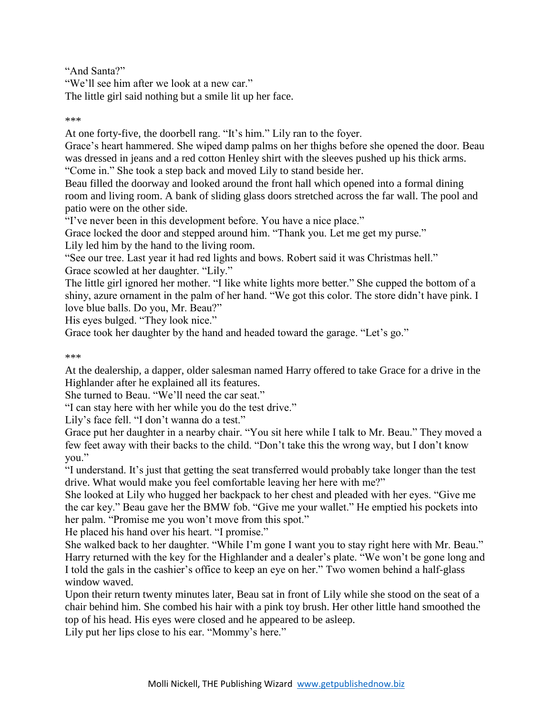"And Santa?"

"We'll see him after we look at a new car." The little girl said nothing but a smile lit up her face.

\*\*\*

At one forty-five, the doorbell rang. "It's him." Lily ran to the foyer.

Grace's heart hammered. She wiped damp palms on her thighs before she opened the door. Beau was dressed in jeans and a red cotton Henley shirt with the sleeves pushed up his thick arms. "Come in." She took a step back and moved Lily to stand beside her.

Beau filled the doorway and looked around the front hall which opened into a formal dining room and living room. A bank of sliding glass doors stretched across the far wall. The pool and

patio were on the other side.

"I've never been in this development before. You have a nice place."

Grace locked the door and stepped around him. "Thank you. Let me get my purse."

Lily led him by the hand to the living room.

"See our tree. Last year it had red lights and bows. Robert said it was Christmas hell." Grace scowled at her daughter. "Lily."

The little girl ignored her mother. "I like white lights more better." She cupped the bottom of a shiny, azure ornament in the palm of her hand. "We got this color. The store didn't have pink. I love blue balls. Do you, Mr. Beau?"

His eyes bulged. "They look nice."

Grace took her daughter by the hand and headed toward the garage. "Let's go."

\*\*\*

At the dealership, a dapper, older salesman named Harry offered to take Grace for a drive in the Highlander after he explained all its features.

She turned to Beau. "We'll need the car seat."

"I can stay here with her while you do the test drive."

Lily's face fell. "I don't wanna do a test."

Grace put her daughter in a nearby chair. "You sit here while I talk to Mr. Beau." They moved a few feet away with their backs to the child. "Don't take this the wrong way, but I don't know you."

"I understand. It's just that getting the seat transferred would probably take longer than the test drive. What would make you feel comfortable leaving her here with me?"

She looked at Lily who hugged her backpack to her chest and pleaded with her eyes. "Give me the car key." Beau gave her the BMW fob. "Give me your wallet." He emptied his pockets into her palm. "Promise me you won't move from this spot."

He placed his hand over his heart. "I promise."

She walked back to her daughter. "While I'm gone I want you to stay right here with Mr. Beau." Harry returned with the key for the Highlander and a dealer's plate. "We won't be gone long and I told the gals in the cashier's office to keep an eye on her." Two women behind a half-glass window waved.

Upon their return twenty minutes later, Beau sat in front of Lily while she stood on the seat of a chair behind him. She combed his hair with a pink toy brush. Her other little hand smoothed the top of his head. His eyes were closed and he appeared to be asleep.

Lily put her lips close to his ear. "Mommy's here."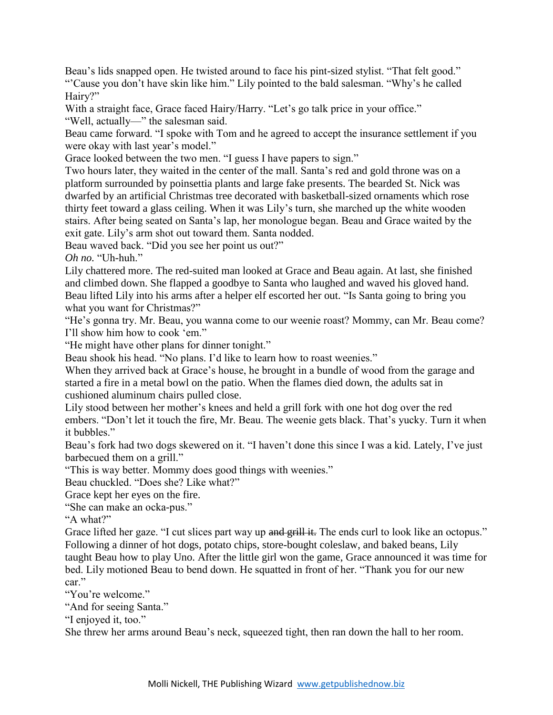Beau's lids snapped open. He twisted around to face his pint-sized stylist. "That felt good." "'Cause you don't have skin like him." Lily pointed to the bald salesman. "Why's he called Hairy?"

With a straight face, Grace faced Hairy/Harry. "Let's go talk price in your office." "Well, actually—" the salesman said.

Beau came forward. "I spoke with Tom and he agreed to accept the insurance settlement if you were okay with last year's model."

Grace looked between the two men. "I guess I have papers to sign."

Two hours later, they waited in the center of the mall. Santa's red and gold throne was on a platform surrounded by poinsettia plants and large fake presents. The bearded St. Nick was dwarfed by an artificial Christmas tree decorated with basketball-sized ornaments which rose thirty feet toward a glass ceiling. When it was Lily's turn, she marched up the white wooden stairs. After being seated on Santa's lap, her monologue began. Beau and Grace waited by the exit gate. Lily's arm shot out toward them. Santa nodded.

Beau waved back. "Did you see her point us out?"

*Oh no.* "Uh-huh."

Lily chattered more. The red-suited man looked at Grace and Beau again. At last, she finished and climbed down. She flapped a goodbye to Santa who laughed and waved his gloved hand. Beau lifted Lily into his arms after a helper elf escorted her out. "Is Santa going to bring you what you want for Christmas?"

"He's gonna try. Mr. Beau, you wanna come to our weenie roast? Mommy, can Mr. Beau come? I'll show him how to cook 'em."

"He might have other plans for dinner tonight."

Beau shook his head. "No plans. I'd like to learn how to roast weenies."

When they arrived back at Grace's house, he brought in a bundle of wood from the garage and started a fire in a metal bowl on the patio. When the flames died down, the adults sat in cushioned aluminum chairs pulled close.

Lily stood between her mother's knees and held a grill fork with one hot dog over the red embers. "Don't let it touch the fire, Mr. Beau. The weenie gets black. That's yucky. Turn it when it bubbles."

Beau's fork had two dogs skewered on it. "I haven't done this since I was a kid. Lately, I've just barbecued them on a grill."

"This is way better. Mommy does good things with weenies."

Beau chuckled. "Does she? Like what?"

Grace kept her eyes on the fire.

"She can make an ocka-pus."

"A what?"

Grace lifted her gaze. "I cut slices part way up and grill it. The ends curl to look like an octopus." Following a dinner of hot dogs, potato chips, store-bought coleslaw, and baked beans, Lily taught Beau how to play Uno. After the little girl won the game, Grace announced it was time for bed. Lily motioned Beau to bend down. He squatted in front of her. "Thank you for our new car."

"You're welcome"

"And for seeing Santa."

"I enjoyed it, too."

She threw her arms around Beau's neck, squeezed tight, then ran down the hall to her room.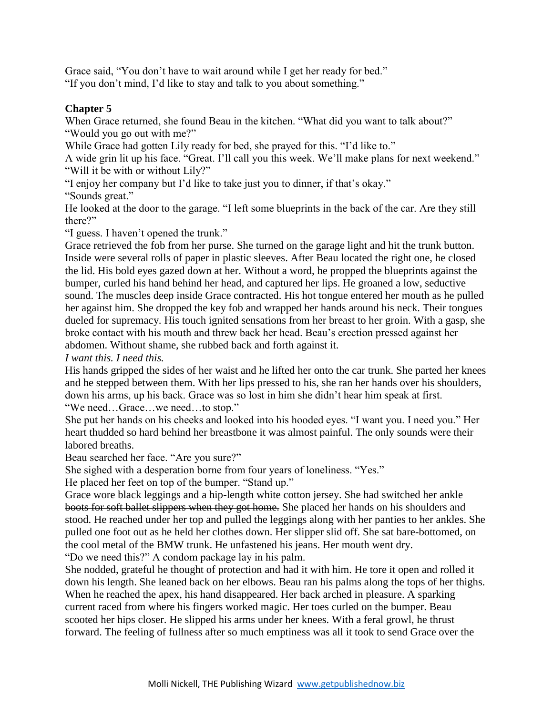Grace said, "You don't have to wait around while I get her ready for bed." "If you don't mind, I'd like to stay and talk to you about something."

## **Chapter 5**

When Grace returned, she found Beau in the kitchen. "What did you want to talk about?" "Would you go out with me?"

While Grace had gotten Lily ready for bed, she prayed for this. "I'd like to."

A wide grin lit up his face. "Great. I'll call you this week. We'll make plans for next weekend." "Will it be with or without Lily?"

"I enjoy her company but I'd like to take just you to dinner, if that's okay."

"Sounds great."

He looked at the door to the garage. "I left some blueprints in the back of the car. Are they still there?"

"I guess. I haven't opened the trunk."

Grace retrieved the fob from her purse. She turned on the garage light and hit the trunk button. Inside were several rolls of paper in plastic sleeves. After Beau located the right one, he closed the lid. His bold eyes gazed down at her. Without a word, he propped the blueprints against the bumper, curled his hand behind her head, and captured her lips. He groaned a low, seductive sound. The muscles deep inside Grace contracted. His hot tongue entered her mouth as he pulled her against him. She dropped the key fob and wrapped her hands around his neck. Their tongues dueled for supremacy. His touch ignited sensations from her breast to her groin. With a gasp, she broke contact with his mouth and threw back her head. Beau's erection pressed against her abdomen. Without shame, she rubbed back and forth against it.

*I want this. I need this.*

His hands gripped the sides of her waist and he lifted her onto the car trunk. She parted her knees and he stepped between them. With her lips pressed to his, she ran her hands over his shoulders, down his arms, up his back. Grace was so lost in him she didn't hear him speak at first. "We need…Grace…we need…to stop."

She put her hands on his cheeks and looked into his hooded eyes. "I want you. I need you." Her heart thudded so hard behind her breastbone it was almost painful. The only sounds were their labored breaths.

Beau searched her face. "Are you sure?"

She sighed with a desperation borne from four years of loneliness. "Yes."

He placed her feet on top of the bumper. "Stand up."

Grace wore black leggings and a hip-length white cotton jersey. She had switched her ankle boots for soft ballet slippers when they got home. She placed her hands on his shoulders and stood. He reached under her top and pulled the leggings along with her panties to her ankles. She pulled one foot out as he held her clothes down. Her slipper slid off. She sat bare-bottomed, on the cool metal of the BMW trunk. He unfastened his jeans. Her mouth went dry.

"Do we need this?" A condom package lay in his palm.

She nodded, grateful he thought of protection and had it with him. He tore it open and rolled it down his length. She leaned back on her elbows. Beau ran his palms along the tops of her thighs. When he reached the apex, his hand disappeared. Her back arched in pleasure. A sparking current raced from where his fingers worked magic. Her toes curled on the bumper. Beau scooted her hips closer. He slipped his arms under her knees. With a feral growl, he thrust forward. The feeling of fullness after so much emptiness was all it took to send Grace over the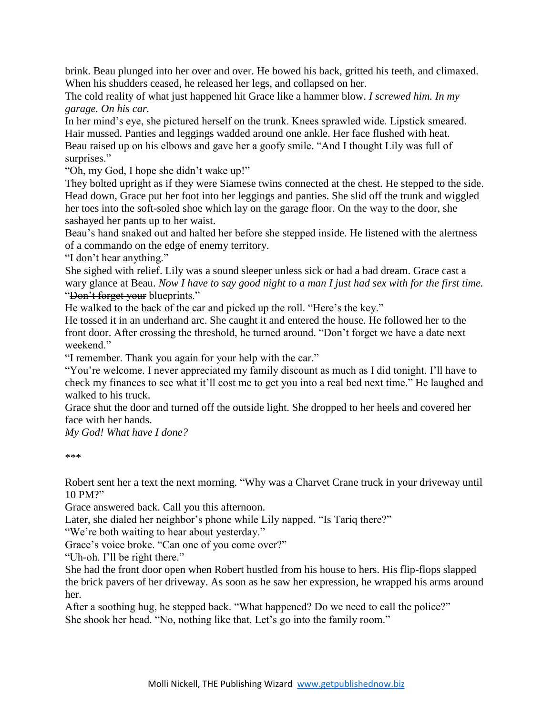brink. Beau plunged into her over and over. He bowed his back, gritted his teeth, and climaxed. When his shudders ceased, he released her legs, and collapsed on her.

The cold reality of what just happened hit Grace like a hammer blow. *I screwed him. In my garage. On his car.*

In her mind's eye, she pictured herself on the trunk. Knees sprawled wide. Lipstick smeared. Hair mussed. Panties and leggings wadded around one ankle. Her face flushed with heat. Beau raised up on his elbows and gave her a goofy smile. "And I thought Lily was full of surprises."

"Oh, my God, I hope she didn't wake up!"

They bolted upright as if they were Siamese twins connected at the chest. He stepped to the side. Head down, Grace put her foot into her leggings and panties. She slid off the trunk and wiggled her toes into the soft-soled shoe which lay on the garage floor. On the way to the door, she sashayed her pants up to her waist.

Beau's hand snaked out and halted her before she stepped inside. He listened with the alertness of a commando on the edge of enemy territory.

"I don't hear anything."

She sighed with relief. Lily was a sound sleeper unless sick or had a bad dream. Grace cast a wary glance at Beau. *Now I have to say good night to a man I just had sex with for the first time.* "Don't forget your blueprints."

He walked to the back of the car and picked up the roll. "Here's the key."

He tossed it in an underhand arc. She caught it and entered the house. He followed her to the front door. After crossing the threshold, he turned around. "Don't forget we have a date next weekend."

"I remember. Thank you again for your help with the car."

"You're welcome. I never appreciated my family discount as much as I did tonight. I'll have to check my finances to see what it'll cost me to get you into a real bed next time." He laughed and walked to his truck.

Grace shut the door and turned off the outside light. She dropped to her heels and covered her face with her hands.

*My God! What have I done?*

\*\*\*

Robert sent her a text the next morning. "Why was a Charvet Crane truck in your driveway until 10 PM?"

Grace answered back. Call you this afternoon.

Later, she dialed her neighbor's phone while Lily napped. "Is Tariq there?"

"We're both waiting to hear about yesterday."

Grace's voice broke. "Can one of you come over?"

"Uh-oh. I'll be right there."

She had the front door open when Robert hustled from his house to hers. His flip-flops slapped the brick pavers of her driveway. As soon as he saw her expression, he wrapped his arms around her.

After a soothing hug, he stepped back. "What happened? Do we need to call the police?" She shook her head. "No, nothing like that. Let's go into the family room."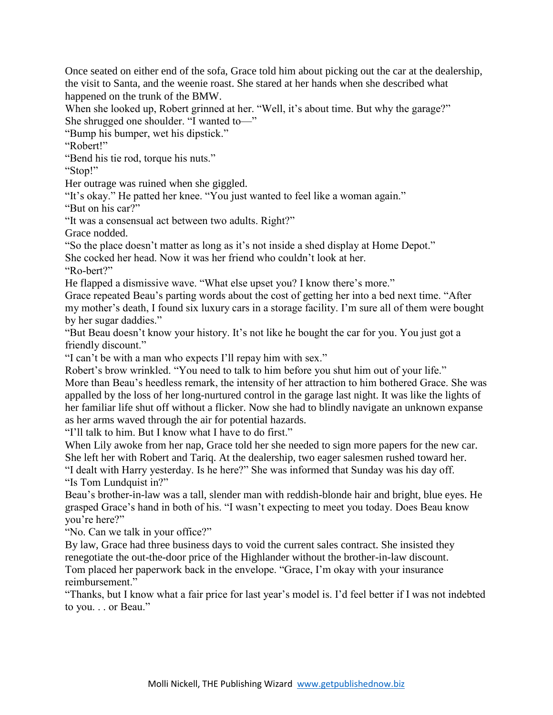Once seated on either end of the sofa, Grace told him about picking out the car at the dealership, the visit to Santa, and the weenie roast. She stared at her hands when she described what happened on the trunk of the BMW.

When she looked up, Robert grinned at her. "Well, it's about time. But why the garage?" She shrugged one shoulder. "I wanted to—"

"Bump his bumper, wet his dipstick."

"Robert!"

"Bend his tie rod, torque his nuts."

"Stop!"

Her outrage was ruined when she giggled.

"It's okay." He patted her knee. "You just wanted to feel like a woman again."

"But on his car?"

"It was a consensual act between two adults. Right?"

Grace nodded.

"So the place doesn't matter as long as it's not inside a shed display at Home Depot."

She cocked her head. Now it was her friend who couldn't look at her.

"Ro-bert?"

He flapped a dismissive wave. "What else upset you? I know there's more."

Grace repeated Beau's parting words about the cost of getting her into a bed next time. "After my mother's death, I found six luxury cars in a storage facility. I'm sure all of them were bought by her sugar daddies."

"But Beau doesn't know your history. It's not like he bought the car for you. You just got a friendly discount."

"I can't be with a man who expects I'll repay him with sex."

Robert's brow wrinkled. "You need to talk to him before you shut him out of your life." More than Beau's heedless remark, the intensity of her attraction to him bothered Grace. She was appalled by the loss of her long-nurtured control in the garage last night. It was like the lights of her familiar life shut off without a flicker. Now she had to blindly navigate an unknown expanse as her arms waved through the air for potential hazards.

"I'll talk to him. But I know what I have to do first."

When Lily awoke from her nap, Grace told her she needed to sign more papers for the new car. She left her with Robert and Tariq. At the dealership, two eager salesmen rushed toward her. "I dealt with Harry yesterday. Is he here?" She was informed that Sunday was his day off.

"Is Tom Lundquist in?"

Beau's brother-in-law was a tall, slender man with reddish-blonde hair and bright, blue eyes. He grasped Grace's hand in both of his. "I wasn't expecting to meet you today. Does Beau know you're here?"

"No. Can we talk in your office?"

By law, Grace had three business days to void the current sales contract. She insisted they renegotiate the out-the-door price of the Highlander without the brother-in-law discount. Tom placed her paperwork back in the envelope. "Grace, I'm okay with your insurance reimbursement."

"Thanks, but I know what a fair price for last year's model is. I'd feel better if I was not indebted to you. . . or Beau."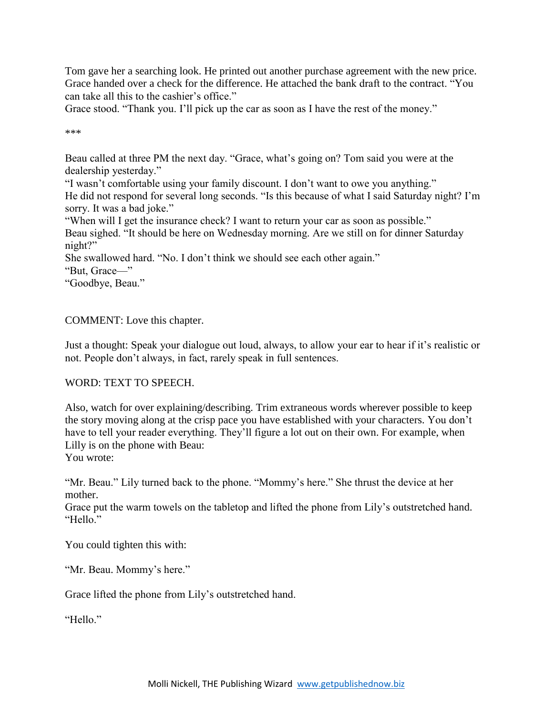Tom gave her a searching look. He printed out another purchase agreement with the new price. Grace handed over a check for the difference. He attached the bank draft to the contract. "You can take all this to the cashier's office."

Grace stood. "Thank you. I'll pick up the car as soon as I have the rest of the money."

\*\*\*

Beau called at three PM the next day. "Grace, what's going on? Tom said you were at the dealership yesterday."

"I wasn't comfortable using your family discount. I don't want to owe you anything." He did not respond for several long seconds. "Is this because of what I said Saturday night? I'm sorry. It was a bad joke."

"When will I get the insurance check? I want to return your car as soon as possible." Beau sighed. "It should be here on Wednesday morning. Are we still on for dinner Saturday night?"

She swallowed hard. "No. I don't think we should see each other again."

"But, Grace—"

"Goodbye, Beau."

COMMENT: Love this chapter.

Just a thought: Speak your dialogue out loud, always, to allow your ear to hear if it's realistic or not. People don't always, in fact, rarely speak in full sentences.

### WORD: TEXT TO SPEECH.

Also, watch for over explaining/describing. Trim extraneous words wherever possible to keep the story moving along at the crisp pace you have established with your characters. You don't have to tell your reader everything. They'll figure a lot out on their own. For example, when Lilly is on the phone with Beau:

You wrote:

"Mr. Beau." Lily turned back to the phone. "Mommy's here." She thrust the device at her mother.

Grace put the warm towels on the tabletop and lifted the phone from Lily's outstretched hand. "Hello"

You could tighten this with:

"Mr. Beau. Mommy's here."

Grace lifted the phone from Lily's outstretched hand.

"Hello"